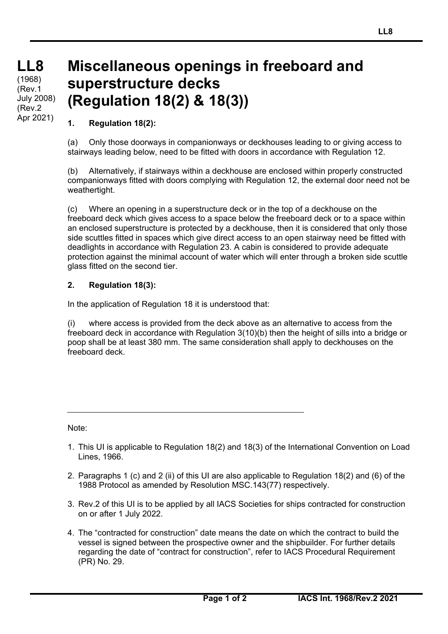## **Miscellaneous openings in freeboard and superstructure decks (Regulation 18(2) & 18(3))**

## **1. Regulation 18(2):**

(a) Only those doorways in companionways or deckhouses leading to or giving access to stairways leading below, need to be fitted with doors in accordance with Regulation 12.

(b) Alternatively, if stairways within a deckhouse are enclosed within properly constructed companionways fitted with doors complying with Regulation 12, the external door need not be weathertight.

(c) Where an opening in a superstructure deck or in the top of a deckhouse on the freeboard deck which gives access to a space below the freeboard deck or to a space within an enclosed superstructure is protected by a deckhouse, then it is considered that only those side scuttles fitted in spaces which give direct access to an open stairway need be fitted with deadlights in accordance with Regulation 23. A cabin is considered to provide adequate protection against the minimal account of water which will enter through a broken side scuttle glass fitted on the second tier.

## **2. Regulation 18(3):**

In the application of Regulation 18 it is understood that:

(i) where access is provided from the deck above as an alternative to access from the freeboard deck in accordance with Regulation 3(10)(b) then the height of sills into a bridge or poop shall be at least 380 mm. The same consideration shall apply to deckhouses on the freeboard deck.

Note:

 $\overline{a}$ 

- 1. This UI is applicable to Regulation 18(2) and 18(3) of the International Convention on Load Lines, 1966.
- 2. Paragraphs 1 (c) and 2 (ii) of this UI are also applicable to Regulation 18(2) and (6) of the 1988 Protocol as amended by Resolution MSC.143(77) respectively.
- 3. Rev.2 of this UI is to be applied by all IACS Societies for ships contracted for construction on or after 1 July 2022.
- 4. The "contracted for construction" date means the date on which the contract to build the vessel is signed between the prospective owner and the shipbuilder. For further details regarding the date of "contract for construction", refer to IACS Procedural Requirement (PR) No. 29.